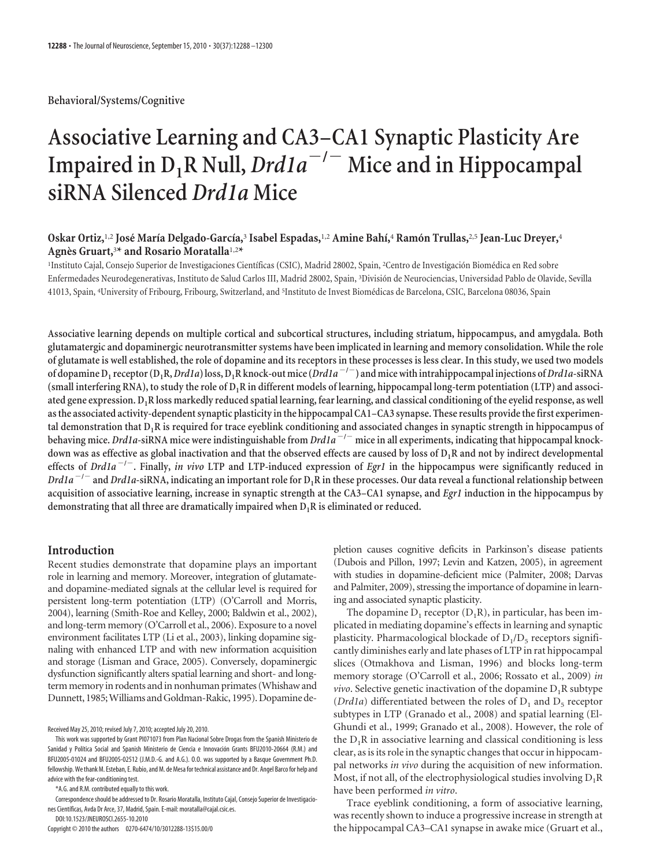**Behavioral/Systems/Cognitive**

# **Associative Learning and CA3–CA1 Synaptic Plasticity Are** Impaired in  $D_1R$  Null,  $Dr d1a^{-/-}$  Mice and in Hippocampal **siRNA Silenced** *Drd1a* **Mice**

## **Oskar Ortiz,**1,2 **Jose´ María Delgado-García,**<sup>3</sup> **Isabel Espadas,**1,2 **Amine Bahí,**<sup>4</sup> **Ramo´n Trullas,**2,5 **Jean-Luc Dreyer,**<sup>4</sup> **Agne`s Gruart,**<sup>3</sup>**\* and Rosario Moratalla**1,2**\***

<sup>1</sup>Instituto Cajal, Consejo Superior de Investigaciones Científicas (CSIC), Madrid 28002, Spain, <sup>2</sup>Centro de Investigación Biomédica en Red sobre Enfermedades Neurodegenerativas, Instituto de Salud Carlos III, Madrid 28002, Spain, <sup>3</sup>División de Neurociencias, Universidad Pablo de Olavide, Sevilla 41013, Spain, <sup>4</sup>University of Fribourg, Fribourg, Switzerland, and <sup>5</sup>Instituto de Invest Biomédicas de Barcelona, CSIC, Barcelona 08036, Spain

**Associative learning depends on multiple cortical and subcortical structures, including striatum, hippocampus, and amygdala. Both glutamatergic and dopaminergic neurotransmitter systems have been implicated in learning and memory consolidation. While the role of glutamate is well established, the role of dopamine and its receptors in these processes is less clear. In this study, we used two models** of dopamine D<sub>1</sub> receptor (D<sub>1</sub>R, Drd1a) loss, D<sub>1</sub>R knock-out mice (Drd1a<sup>-/-</sup>) and mice with intrahippocampal injections of Drd1a-siRNA **(small interfering RNA), to study the role of D1R in different models of learning, hippocampal long-term potentiation (LTP) and associated gene expression. D1R loss markedly reduced spatial learning, fear learning, and classical conditioning of the eyelid response, as well as the associated activity-dependent synaptic plasticity in the hippocampal CA1–CA3 synapse. These results provide the first experimental demonstration that D1R is required for trace eyeblink conditioning and associated changes in synaptic strength in hippocampus of behaving mice.** *Drd1a***-siRNA mice were indistinguishable from** *Drd1a* **/ mice in all experiments, indicating that hippocampal knockdown was as effective as global inactivation and that the observed effects are caused by loss of D1R and not by indirect developmental effects of** *Drd1a* **/ . Finally,** *in vivo* **LTP and LTP-induced expression of** *Egr1* **in the hippocampus were significantly reduced in** *Drd1a* **/ and** *Drd1a***-siRNA, indicating an important role for D1R in these processes. Our data reveal a functional relationship between acquisition of associative learning, increase in synaptic strength at the CA3–CA1 synapse, and** *Egr1* **induction in the hippocampus by demonstrating that all three are dramatically impaired when D1R is eliminated or reduced.**

## **Introduction**

Recent studies demonstrate that dopamine plays an important role in learning and memory. Moreover, integration of glutamateand dopamine-mediated signals at the cellular level is required for persistent long-term potentiation (LTP) (O'Carroll and Morris, 2004), learning (Smith-Roe and Kelley, 2000; Baldwin et al., 2002), and long-term memory (O'Carroll et al., 2006). Exposure to a novel environment facilitates LTP (Li et al., 2003), linking dopamine signaling with enhanced LTP and with new information acquisition and storage (Lisman and Grace, 2005). Conversely, dopaminergic dysfunction significantly alters spatial learning and short- and longterm memory in rodents and in nonhuman primates (Whishaw and Dunnett, 1985;Williams and Goldman-Rakic, 1995). Dopamine de-

Received May 25, 2010; revised July 7, 2010; accepted July 20, 2010.

\*A.G. and R.M. contributed equally to this work.

Correspondence should be addressed to Dr. Rosario Moratalla, Instituto Cajal, Consejo Superior de Investigaciones Científicas, Avda Dr Arce, 37, Madrid, Spain. E-mail: moratalla@cajal.csic.es.

DOI:10.1523/JNEUROSCI.2655-10.2010

Copyright © 2010 the authors 0270-6474/10/3012288-13\$15.00/0

pletion causes cognitive deficits in Parkinson's disease patients (Dubois and Pillon, 1997; Levin and Katzen, 2005), in agreement with studies in dopamine-deficient mice (Palmiter, 2008; Darvas and Palmiter, 2009), stressing the importance of dopamine in learning and associated synaptic plasticity.

The dopamine  $D_1$  receptor  $(D_1R)$ , in particular, has been implicated in mediating dopamine's effects in learning and synaptic plasticity. Pharmacological blockade of  $D_1/D_5$  receptors significantly diminishes early and late phases of LTP in rat hippocampal slices (Otmakhova and Lisman, 1996) and blocks long-term memory storage (O'Carroll et al., 2006; Rossato et al., 2009) *in vivo*. Selective genetic inactivation of the dopamine  $D_1R$  subtype ( $Drd1a$ ) differentiated between the roles of  $D_1$  and  $D_5$  receptor subtypes in LTP (Granado et al., 2008) and spatial learning (El-Ghundi et al., 1999; Granado et al., 2008). However, the role of the  $D_1R$  in associative learning and classical conditioning is less clear, as is its role in the synaptic changes that occur in hippocampal networks *in vivo* during the acquisition of new information. Most, if not all, of the electrophysiological studies involving  $D_1R$ have been performed *in vitro*.

Trace eyeblink conditioning, a form of associative learning, was recently shown to induce a progressive increase in strength at the hippocampal CA3–CA1 synapse in awake mice (Gruart et al.,

This work was supported by Grant PI071073 from Plan Nacional Sobre Drogas from the Spanish Ministerio de Sanidad y Política Social and Spanish Ministerio de Ciencia e Innovación Grants BFU2010-20664 (R.M.) and BFU2005-01024 and BFU2005-02512 (J.M.D.-G. and A.G.). O.O. was supported by a Basque Government Ph.D. fellowship. We thank M. Esteban, E. Rubio, and M. de Mesa for technical assistance and Dr. Angel Barco for help and advice with the fear-conditioning test.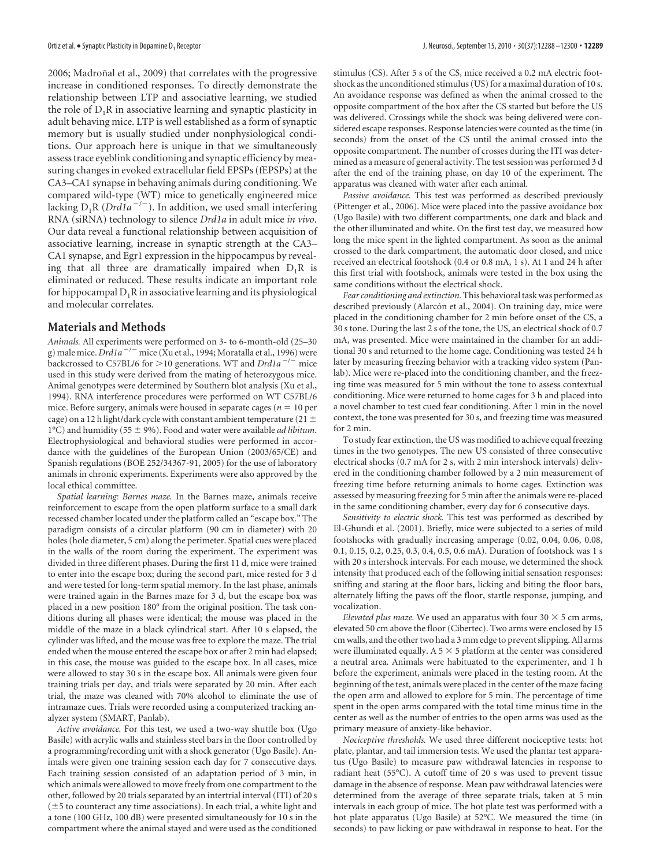2006; Madroñal et al., 2009) that correlates with the progressive increase in conditioned responses. To directly demonstrate the relationship between LTP and associative learning, we studied the role of  $D_1R$  in associative learning and synaptic plasticity in adult behaving mice. LTP is well established as a form of synaptic memory but is usually studied under nonphysiological conditions. Our approach here is unique in that we simultaneously assess trace eyeblink conditioning and synaptic efficiency by measuring changes in evoked extracellular field EPSPs (fEPSPs) at the CA3–CA1 synapse in behaving animals during conditioning. We compared wild-type (WT) mice to genetically engineered mice lacking  $D_1R$  (*Drd1a<sup>-/-</sup>*). In addition, we used small interfering RNA (siRNA) technology to silence *Drd1a* in adult mice *in vivo*. Our data reveal a functional relationship between acquisition of associative learning, increase in synaptic strength at the CA3– CA1 synapse, and Egr1 expression in the hippocampus by revealing that all three are dramatically impaired when  $D_1R$  is eliminated or reduced. These results indicate an important role for hippocampal  $D_1R$  in associative learning and its physiological and molecular correlates.

## **Materials and Methods**

*Animals*. All experiments were performed on 3- to 6-month-old (25—30<br>g) male mice. *Drd1a <sup>— / —</sup>* mice (Xu et al., 1994; Moratalla et al., 1996) were backcrossed to C57BL/6 for >10 generations. WT and *Drd1a<sup>-/-</sup>* mice used in this study were derived from the mating of heterozygous mice. Animal genotypes were determined by Southern blot analysis (Xu et al., 1994). RNA interference procedures were performed on WT C57BL/6 mice. Before surgery, animals were housed in separate cages ( $n = 10$  per cage) on a 12 h light/dark cycle with constant ambient temperature (21  $\pm$ 1°C) and humidity (55  $\pm$  9%). Food and water were available *ad libitum*. Electrophysiological and behavioral studies were performed in accordance with the guidelines of the European Union (2003/65/CE) and Spanish regulations (BOE 252/34367-91, 2005) for the use of laboratory animals in chronic experiments. Experiments were also approved by the local ethical committee.

*Spatial learning: Barnes maze.* In the Barnes maze, animals receive reinforcement to escape from the open platform surface to a small dark recessed chamber located under the platform called an "escape box." The paradigm consists of a circular platform (90 cm in diameter) with 20 holes (hole diameter, 5 cm) along the perimeter. Spatial cues were placed in the walls of the room during the experiment. The experiment was divided in three different phases. During the first 11 d, mice were trained to enter into the escape box; during the second part, mice rested for 3 d and were tested for long-term spatial memory. In the last phase, animals were trained again in the Barnes maze for 3 d, but the escape box was placed in a new position 180° from the original position. The task conditions during all phases were identical; the mouse was placed in the middle of the maze in a black cylindrical start. After 10 s elapsed, the cylinder was lifted, and the mouse was free to explore the maze. The trial ended when the mouse entered the escape box or after 2 min had elapsed; in this case, the mouse was guided to the escape box. In all cases, mice were allowed to stay 30 s in the escape box. All animals were given four training trials per day, and trials were separated by 20 min. After each trial, the maze was cleaned with 70% alcohol to eliminate the use of intramaze cues. Trials were recorded using a computerized tracking analyzer system (SMART, Panlab).

*Active avoidance.* For this test, we used a two-way shuttle box (Ugo Basile) with acrylic walls and stainless steel bars in the floor controlled by a programming/recording unit with a shock generator (Ugo Basile). Animals were given one training session each day for 7 consecutive days. Each training session consisted of an adaptation period of 3 min, in which animals were allowed to move freely from one compartment to the other, followed by 20 trials separated by an intertrial interval (ITI) of 20 s  $(\pm 5$  to counteract any time associations). In each trial, a white light and a tone (100 GHz, 100 dB) were presented simultaneously for 10 s in the compartment where the animal stayed and were used as the conditioned

stimulus (CS). After 5 s of the CS, mice received a 0.2 mA electric footshock as the unconditioned stimulus (US) for a maximal duration of 10 s. An avoidance response was defined as when the animal crossed to the opposite compartment of the box after the CS started but before the US was delivered. Crossings while the shock was being delivered were considered escape responses. Response latencies were counted as the time (in seconds) from the onset of the CS until the animal crossed into the opposite compartment. The number of crosses during the ITI was determined as a measure of general activity. The test session was performed 3 d after the end of the training phase, on day 10 of the experiment. The apparatus was cleaned with water after each animal.

*Passive avoidance.* This test was performed as described previously (Pittenger et al., 2006). Mice were placed into the passive avoidance box (Ugo Basile) with two different compartments, one dark and black and the other illuminated and white. On the first test day, we measured how long the mice spent in the lighted compartment. As soon as the animal crossed to the dark compartment, the automatic door closed, and mice received an electrical footshock (0.4 or 0.8 mA, 1 s). At 1 and 24 h after this first trial with footshock, animals were tested in the box using the same conditions without the electrical shock.

*Fear conditioning and extinction.* This behavioral task was performed as described previously (Alarcón et al., 2004). On training day, mice were placed in the conditioning chamber for 2 min before onset of the CS, a 30 s tone. During the last 2 s of the tone, the US, an electrical shock of 0.7 mA, was presented. Mice were maintained in the chamber for an additional 30 s and returned to the home cage. Conditioning was tested 24 h later by measuring freezing behavior with a tracking video system (Panlab). Mice were re-placed into the conditioning chamber, and the freezing time was measured for 5 min without the tone to assess contextual conditioning. Mice were returned to home cages for 3 h and placed into a novel chamber to test cued fear conditioning. After 1 min in the novel context, the tone was presented for 30 s, and freezing time was measured for 2 min.

To study fear extinction, the US was modified to achieve equal freezing times in the two genotypes. The new US consisted of three consecutive electrical shocks (0.7 mA for 2 s, with 2 min intershock intervals) delivered in the conditioning chamber followed by a 2 min measurement of freezing time before returning animals to home cages. Extinction was assessed by measuring freezing for 5 min after the animals were re-placed in the same conditioning chamber, every day for 6 consecutive days.

*Sensitivity to electric shock.* This test was performed as described by El-Ghundi et al. (2001). Briefly, mice were subjected to a series of mild footshocks with gradually increasing amperage (0.02, 0.04, 0.06, 0.08, 0.1, 0.15, 0.2, 0.25, 0.3, 0.4, 0.5, 0.6 mA). Duration of footshock was 1 s with 20 s intershock intervals. For each mouse, we determined the shock intensity that produced each of the following initial sensation responses: sniffing and staring at the floor bars, licking and biting the floor bars, alternately lifting the paws off the floor, startle response, jumping, and vocalization.

*Elevated plus maze*. We used an apparatus with four  $30 \times 5$  cm arms, elevated 50 cm above the floor (Cibertec). Two arms were enclosed by 15 cm walls, and the other two had a 3 mm edge to prevent slipping. All arms were illuminated equally. A 5  $\times$  5 platform at the center was considered a neutral area. Animals were habituated to the experimenter, and 1 h before the experiment, animals were placed in the testing room. At the beginning of the test, animals were placed in the center of the maze facing the open arm and allowed to explore for 5 min. The percentage of time spent in the open arms compared with the total time minus time in the center as well as the number of entries to the open arms was used as the primary measure of anxiety-like behavior.

*Nociceptive thresholds.* We used three different nociceptive tests: hot plate, plantar, and tail immersion tests. We used the plantar test apparatus (Ugo Basile) to measure paw withdrawal latencies in response to radiant heat (55°C). A cutoff time of 20 s was used to prevent tissue damage in the absence of response. Mean paw withdrawal latencies were determined from the average of three separate trials, taken at 5 min intervals in each group of mice. The hot plate test was performed with a hot plate apparatus (Ugo Basile) at 52°C. We measured the time (in seconds) to paw licking or paw withdrawal in response to heat. For the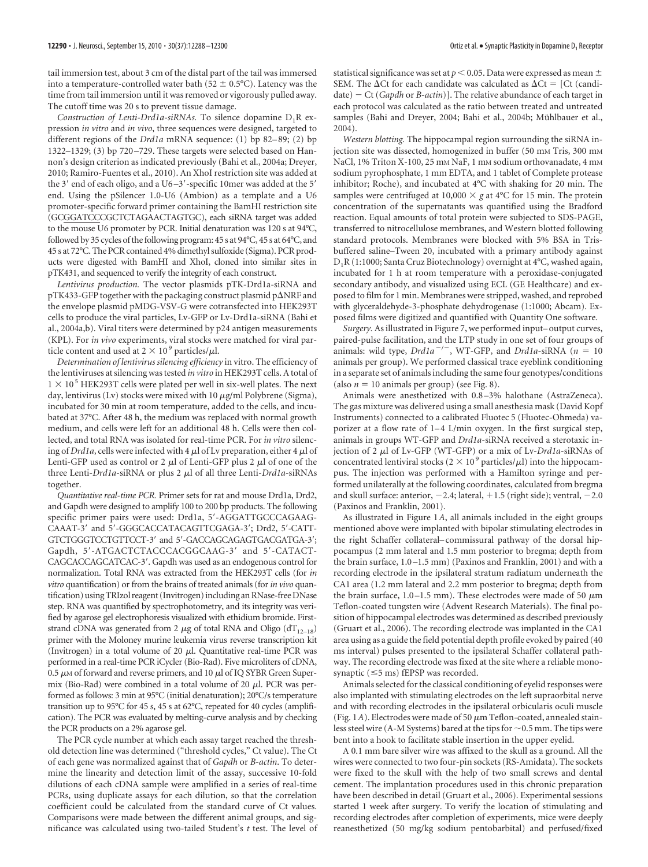tail immersion test, about 3 cm of the distal part of the tail was immersed into a temperature-controlled water bath (52  $\pm$  0.5°C). Latency was the time from tail immersion until it was removed or vigorously pulled away. The cutoff time was 20 s to prevent tissue damage.

*Construction of Lenti-Drd1a-siRNAs.* To silence dopamine  $D_1R$  expression *in vitro* and *in vivo*, three sequences were designed, targeted to different regions of the *Drd1a* mRNA sequence: (1) bp 82-89; (2) bp 1322–1329; (3) bp 720 –729. These targets were selected based on Hannon's design criterion as indicated previously (Bahi et al., 2004a; Dreyer, 2010; Ramiro-Fuentes et al., 2010). An XhoI restriction site was added at the 3' end of each oligo, and a U6 $-3'$ -specific 10mer was added at the 5' end. Using the pSilencer 1.0-U6 (Ambion) as a template and a U6 promoter-specific forward primer containing the BamHI restriction site (GCGGATCCCGCTCTAGAACTAGTGC), each siRNA target was added to the mouse U6 promoter by PCR. Initial denaturation was 120 s at 94°C, followed by 35 cycles of the following program: 45 s at 94°C, 45 s at 64°C, and 45 s at 72°C. The PCR contained 4% dimethyl sulfoxide (Sigma). PCR products were digested with BamHI and XhoI, cloned into similar sites in pTK431, and sequenced to verify the integrity of each construct.

*Lentivirus production.* The vector plasmids pTK-Drd1a-siRNA and pTK433-GFP together with the packaging construct plasmid p $\Delta$ NRF and the envelope plasmid pMDG-VSV-G were cotransfected into HEK293T cells to produce the viral particles, Lv-GFP or Lv-Drd1a-siRNA (Bahi et al., 2004a,b). Viral titers were determined by p24 antigen measurements (KPL). For *in vivo* experiments, viral stocks were matched for viral particle content and used at  $2 \times 10^9$  particles/ $\mu$ l.

*Determination of lentivirus silencing efficiency* in vitro. The efficiency of the lentiviruses at silencing was tested *in vitro* in HEK293T cells. A total of  $1 \times 10^5$  HEK293T cells were plated per well in six-well plates. The next day, lentivirus (Lv) stocks were mixed with 10  $\mu$ g/ml Polybrene (Sigma), incubated for 30 min at room temperature, added to the cells, and incubated at 37°C. After 48 h, the medium was replaced with normal growth medium, and cells were left for an additional 48 h. Cells were then collected, and total RNA was isolated for real-time PCR. For *in vitro* silencing of *Drd1a*, cells were infected with 4  $\mu$ l of Lv preparation, either 4  $\mu$ l of Lenti-GFP used as control or 2  $\mu$ l of Lenti-GFP plus 2  $\mu$ l of one of the three Lenti-*Drd1a*-siRNA or plus 2 μl of all three Lenti-*Drd1a*-siRNAs together.

*Quantitative real-time PCR.* Primer sets for rat and mouse Drd1a, Drd2, and Gapdh were designed to amplify 100 to 200 bp products. The following specific primer pairs were used: Drd1a, 5'-AGGATTGCCCAGAAG-CAAAT-3' and 5'-GGGCACCATACAGTTCGAGA-3'; Drd2, 5'-CATT-GTCTGGGTCCTGTTCCT-3' and 5'-GACCAGCAGAGTGACGATGA-3'; Gapdh, 5'-ATGACTCTACCCACGGCAAG-3' and 5'-CATACT-CAGCACCAGCATCAC-3. Gapdh was used as an endogenous control for normalization. Total RNA was extracted from the HEK293T cells (for *in vitro* quantification) or from the brains of treated animals (for*in vivo* quantification) using TRIzol reagent (Invitrogen) including an RNase-free DNase step. RNA was quantified by spectrophotometry, and its integrity was verified by agarose gel electrophoresis visualized with ethidium bromide. Firststrand cDNA was generated from 2  $\mu$ g of total RNA and Oligo (dT<sub>12–18</sub>) primer with the Moloney murine leukemia virus reverse transcription kit (Invitrogen) in a total volume of 20  $\mu$ l. Quantitative real-time PCR was performed in a real-time PCR iCycler (Bio-Rad). Five microliters of cDNA, 0.5  $\mu$ M of forward and reverse primers, and 10  $\mu$ l of IQ SYBR Green Supermix (Bio-Rad) were combined in a total volume of 20  $\mu$ l. PCR was performed as follows: 3 min at 95°C (initial denaturation); 20°C/s temperature transition up to 95°C for 45 s, 45 s at 62°C, repeated for 40 cycles (amplification). The PCR was evaluated by melting-curve analysis and by checking the PCR products on a 2% agarose gel.

The PCR cycle number at which each assay target reached the threshold detection line was determined ("threshold cycles," Ct value). The Ct of each gene was normalized against that of *Gapdh* or *B-actin*. To determine the linearity and detection limit of the assay, successive 10-fold dilutions of each cDNA sample were amplified in a series of real-time PCRs, using duplicate assays for each dilution, so that the correlation coefficient could be calculated from the standard curve of Ct values. Comparisons were made between the different animal groups, and significance was calculated using two-tailed Student's *t* test. The level of statistical significance was set at  $p < 0.05$ . Data were expressed as mean  $\pm$ SEM. The  $\Delta$ Ct for each candidate was calculated as  $\Delta$ Ct = [Ct (candidate) Ct (*Gapdh* or *B-actin*)]. The relative abundance of each target in each protocol was calculated as the ratio between treated and untreated samples (Bahi and Dreyer, 2004; Bahi et al., 2004b; Mühlbauer et al., 2004).

*Western blotting.* The hippocampal region surrounding the siRNA injection site was dissected, homogenized in buffer (50 mm Tris, 300 mm NaCl, 1% Triton X-100, 25 mm NaF, 1 mm sodium orthovanadate, 4 mm sodium pyrophosphate, 1 mm EDTA, and 1 tablet of Complete protease inhibitor; Roche), and incubated at 4°C with shaking for 20 min. The samples were centrifuged at  $10,000 \times g$  at  $4^{\circ}$ C for 15 min. The protein concentration of the supernatants was quantified using the Bradford reaction. Equal amounts of total protein were subjected to SDS-PAGE, transferred to nitrocellulose membranes, and Western blotted following standard protocols. Membranes were blocked with 5% BSA in Trisbuffered saline–Tween 20, incubated with a primary antibody against D1R (1:1000; Santa Cruz Biotechnology) overnight at 4°C, washed again, incubated for 1 h at room temperature with a peroxidase-conjugated secondary antibody, and visualized using ECL (GE Healthcare) and exposed to film for 1 min. Membranes were stripped, washed, and reprobed with glyceraldehyde-3-phosphate dehydrogenase (1:1000; Abcam). Exposed films were digitized and quantified with Quantity One software.

*Surgery.* As illustrated in Figure 7, we performed input– output curves, paired-pulse facilitation, and the LTP study in one set of four groups of animals: wild type,  $Drda^{-1}$ , WT-GFP, and  $Drda \neq$ siRNA ( $n = 10$ ) animals per group). We performed classical trace eyeblink conditioning in a separate set of animals including the same four genotypes/conditions (also  $n = 10$  animals per group) (see Fig. 8).

Animals were anesthetized with 0.8 –3% halothane (AstraZeneca). The gas mixture was delivered using a small anesthesia mask (David Kopf Instruments) connected to a calibrated Fluotec 5 (Fluotec-Ohmeda) vaporizer at a flow rate of 1-4 L/min oxygen. In the first surgical step, animals in groups WT-GFP and *Drd1a*-siRNA received a sterotaxic injection of 2 µl of Lv-GFP (WT-GFP) or a mix of Lv-*Drd1a*-siRNAs of concentrated lentiviral stocks ( $2 \times 10^9$  particles/ $\mu$ l) into the hippocampus. The injection was performed with a Hamilton syringe and performed unilaterally at the following coordinates, calculated from bregma and skull surface: anterior,  $-2.4$ ; lateral,  $+1.5$  (right side); ventral,  $-2.0$ (Paxinos and Franklin, 2001).

As illustrated in Figure 1*A*, all animals included in the eight groups mentioned above were implanted with bipolar stimulating electrodes in the right Schaffer collateral– commissural pathway of the dorsal hippocampus (2 mm lateral and 1.5 mm posterior to bregma; depth from the brain surface, 1.0 –1.5 mm) (Paxinos and Franklin, 2001) and with a recording electrode in the ipsilateral stratum radiatum underneath the CA1 area (1.2 mm lateral and 2.2 mm posterior to bregma; depth from the brain surface, 1.0–1.5 mm). These electrodes were made of 50  $\mu$ m Teflon-coated tungsten wire (Advent Research Materials). The final position of hippocampal electrodes was determined as described previously (Gruart et al., 2006). The recording electrode was implanted in the CA1 area using as a guide the field potential depth profile evoked by paired (40 ms interval) pulses presented to the ipsilateral Schaffer collateral pathway. The recording electrode was fixed at the site where a reliable monosynaptic (≤5 ms) fEPSP was recorded.

Animals selected for the classical conditioning of eyelid responses were also implanted with stimulating electrodes on the left supraorbital nerve and with recording electrodes in the ipsilateral orbicularis oculi muscle (Fig. 1A). Electrodes were made of 50  $\mu$ m Teflon-coated, annealed stainless steel wire (A-M Systems) bared at the tips for  ${\sim}$  0.5 mm. The tips were bent into a hook to facilitate stable insertion in the upper eyelid.

A 0.1 mm bare silver wire was affixed to the skull as a ground. All the wires were connected to two four-pin sockets (RS-Amidata). The sockets were fixed to the skull with the help of two small screws and dental cement. The implantation procedures used in this chronic preparation have been described in detail (Gruart et al., 2006). Experimental sessions started 1 week after surgery. To verify the location of stimulating and recording electrodes after completion of experiments, mice were deeply reanesthetized (50 mg/kg sodium pentobarbital) and perfused/fixed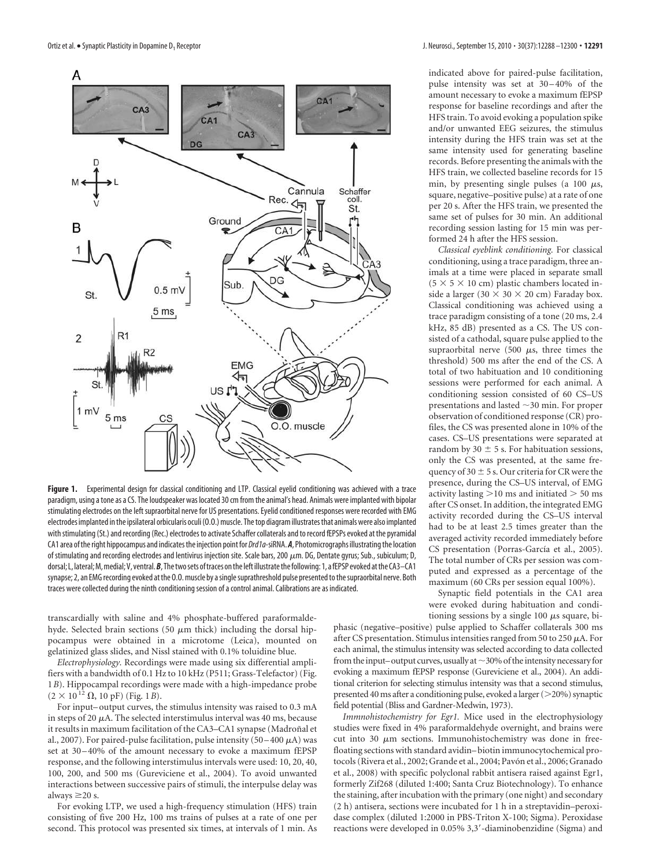

Figure 1. Experimental design for classical conditioning and LTP. Classical eyelid conditioning was achieved with a trace paradigm, using a tone as a CS. The loudspeaker was located 30 cm from the animal's head. Animals were implanted with bipolar stimulating electrodes on the left supraorbital nerve for US presentations. Eyelid conditioned responses were recorded with EMG electrodes implanted in the ipsilateral orbicularis oculi (O.O.) muscle. The top diagram illustrates that animals were also implanted with stimulating (St.) and recording (Rec.) electrodes to activate Schaffer collaterals and to record fEPSPs evoked at the pyramidal CA1 area of the right hippocampus and indicates the injection point for Drd1a-siRNA. *A*, Photomicrographs illustrating the location of stimulating and recording electrodes and lentivirus injection site. Scale bars, 200  $\mu$ m. DG, Dentate gyrus; Sub., subiculum; D, dorsal; L, lateral; M, medial; V, ventral. B, The two sets of traces on the left illustrate the following: 1, a fEPSP evoked at the CA3-CA1 synapse; 2, an EMG recording evoked at the O.O. muscle by a single suprathreshold pulse presented to the supraorbital nerve. Both traces were collected during the ninth conditioning session of a control animal. Calibrations are as indicated.

transcardially with saline and 4% phosphate-buffered paraformaldehyde. Selected brain sections (50  $\mu$ m thick) including the dorsal hippocampus were obtained in a microtome (Leica), mounted on gelatinized glass slides, and Nissl stained with 0.1% toluidine blue.

*Electrophysiology.* Recordings were made using six differential amplifiers with a bandwidth of 0.1 Hz to 10 kHz (P511; Grass-Telefactor) (Fig. 1*B*). Hippocampal recordings were made with a high-impedance probe  $(2 \times 10^{12} \Omega, 10 \text{ pF})$  (Fig. 1*B*).

For input– output curves, the stimulus intensity was raised to 0.3 mA in steps of 20  $\mu$ A. The selected interstimulus interval was 40 ms, because it results in maximum facilitation of the CA3–CA1 synapse (Madroñal et al., 2007). For paired-pulse facilitation, pulse intensity  $(50-400 \mu A)$  was set at 30 –40% of the amount necessary to evoke a maximum fEPSP response, and the following interstimulus intervals were used: 10, 20, 40, 100, 200, and 500 ms (Gureviciene et al., 2004). To avoid unwanted interactions between successive pairs of stimuli, the interpulse delay was always  $\geq$ 20 s.

For evoking LTP, we used a high-frequency stimulation (HFS) train consisting of five 200 Hz, 100 ms trains of pulses at a rate of one per second. This protocol was presented six times, at intervals of 1 min. As indicated above for paired-pulse facilitation, pulse intensity was set at 30 –40% of the amount necessary to evoke a maximum fEPSP response for baseline recordings and after the HFS train. To avoid evoking a population spike and/or unwanted EEG seizures, the stimulus intensity during the HFS train was set at the same intensity used for generating baseline records. Before presenting the animals with the HFS train, we collected baseline records for 15 min, by presenting single pulses (a 100  $\mu$ s, square, negative–positive pulse) at a rate of one per 20 s. After the HFS train, we presented the same set of pulses for 30 min. An additional recording session lasting for 15 min was performed 24 h after the HFS session.

*Classical eyeblink conditioning.* For classical conditioning, using a trace paradigm, three animals at a time were placed in separate small  $(5 \times 5 \times 10$  cm) plastic chambers located inside a larger (30  $\times$  30  $\times$  20 cm) Faraday box. Classical conditioning was achieved using a trace paradigm consisting of a tone (20 ms, 2.4 kHz, 85 dB) presented as a CS. The US consisted of a cathodal, square pulse applied to the supraorbital nerve (500  $\mu$ s, three times the threshold) 500 ms after the end of the CS. A total of two habituation and 10 conditioning sessions were performed for each animal. A conditioning session consisted of 60 CS–US presentations and lasted 30 min. For proper observation of conditioned response (CR) profiles, the CS was presented alone in 10% of the cases. CS–US presentations were separated at random by 30  $\pm$  5 s. For habituation sessions, only the CS was presented, at the same frequency of  $30 \pm 5$  s. Our criteria for CR were the presence, during the CS–US interval, of EMG activity lasting  $>$ 10 ms and initiated  $>$  50 ms after CS onset. In addition, the integrated EMG activity recorded during the CS–US interval had to be at least 2.5 times greater than the averaged activity recorded immediately before CS presentation (Porras-García et al., 2005). The total number of CRs per session was computed and expressed as a percentage of the maximum (60 CRs per session equal 100%).

Synaptic field potentials in the CA1 area were evoked during habituation and conditioning sessions by a single 100  $\mu$ s square, bi-

phasic (negative–positive) pulse applied to Schaffer collaterals 300 ms after CS presentation. Stimulus intensities ranged from 50 to 250  $\mu$ A. For each animal, the stimulus intensity was selected according to data collected from the input–output curves, usually at  $\sim$  30% of the intensity necessary for evoking a maximum fEPSP response (Gureviciene et al., 2004). An additional criterion for selecting stimulus intensity was that a second stimulus, presented 40 ms after a conditioning pulse, evoked a larger (>20%) synaptic field potential (Bliss and Gardner-Medwin, 1973).

*Immnohistochemistry for Egr1.* Mice used in the electrophysiology studies were fixed in 4% paraformaldehyde overnight, and brains were cut into 30  $\mu$ m sections. Immunohistochemistry was done in freefloating sections with standard avidin– biotin immunocytochemical protocols (Rivera et al., 2002; Grande et al., 2004; Pavón et al., 2006; Granado et al., 2008) with specific polyclonal rabbit antisera raised against Egr1, formerly Zif268 (diluted 1:400; Santa Cruz Biotechnology). To enhance the staining, after incubation with the primary (one night) and secondary (2 h) antisera, sections were incubated for 1 h in a streptavidin–peroxidase complex (diluted 1:2000 in PBS-Triton X-100; Sigma). Peroxidase reactions were developed in 0.05% 3,3-diaminobenzidine (Sigma) and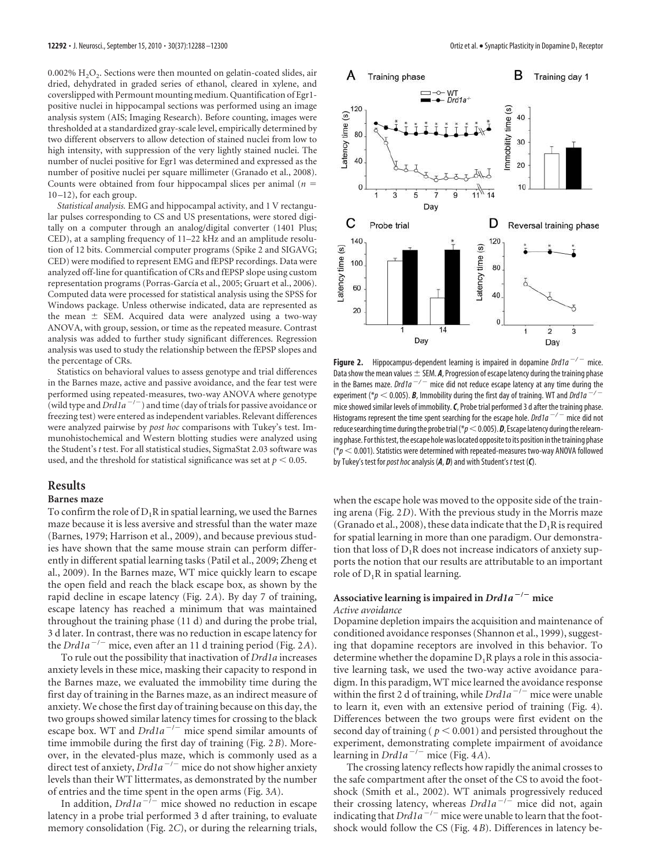$0.002\%~\mathrm{H}_2\mathrm{O}_2$ . Sections were then mounted on gelatin-coated slides, air dried, dehydrated in graded series of ethanol, cleared in xylene, and coverslipped with Permount mounting medium. Quantification of Egr1 positive nuclei in hippocampal sections was performed using an image analysis system (AIS; Imaging Research). Before counting, images were thresholded at a standardized gray-scale level, empirically determined by two different observers to allow detection of stained nuclei from low to high intensity, with suppression of the very lightly stained nuclei. The number of nuclei positive for Egr1 was determined and expressed as the number of positive nuclei per square millimeter (Granado et al., 2008). Counts were obtained from four hippocampal slices per animal (*n* 10 –12), for each group.

*Statistical analysis.* EMG and hippocampal activity, and 1 V rectangular pulses corresponding to CS and US presentations, were stored digitally on a computer through an analog/digital converter (1401 Plus; CED), at a sampling frequency of 11–22 kHz and an amplitude resolution of 12 bits. Commercial computer programs (Spike 2 and SIGAVG; CED) were modified to represent EMG and fEPSP recordings. Data were analyzed off-line for quantification of CRs and fEPSP slope using custom representation programs (Porras-García et al., 2005; Gruart et al., 2006). Computed data were processed for statistical analysis using the SPSS for Windows package. Unless otherwise indicated, data are represented as the mean  $\pm$  SEM. Acquired data were analyzed using a two-way ANOVA, with group, session, or time as the repeated measure. Contrast analysis was added to further study significant differences. Regression analysis was used to study the relationship between the fEPSP slopes and the percentage of CRs.

Statistics on behavioral values to assess genotype and trial differences in the Barnes maze, active and passive avoidance, and the fear test were performed using repeated-measures, two-way ANOVA where genotype (wild type and  $Drd1a^{-/-}$ ) and time (day of trials for passive avoidance or freezing test) were entered as independent variables. Relevant differences were analyzed pairwise by *post hoc* comparisons with Tukey's test. Immunohistochemical and Western blotting studies were analyzed using the Student's *t* test. For all statistical studies, SigmaStat 2.03 software was used, and the threshold for statistical significance was set at  $p < 0.05$ .

#### **Results**

#### **Barnes maze**

To confirm the role of  $D_1R$  in spatial learning, we used the Barnes maze because it is less aversive and stressful than the water maze (Barnes, 1979; Harrison et al., 2009), and because previous studies have shown that the same mouse strain can perform differently in different spatial learning tasks (Patil et al., 2009; Zheng et al., 2009). In the Barnes maze, WT mice quickly learn to escape the open field and reach the black escape box, as shown by the rapid decline in escape latency (Fig. 2*A*). By day 7 of training, escape latency has reached a minimum that was maintained throughout the training phase (11 d) and during the probe trial, 3 d later. In contrast, there was no reduction in escape latency for the *Drd1a*<sup> $-/-$ </sup> mice, even after an 11 d training period (Fig. 2A).

To rule out the possibility that inactivation of *Drd1a* increases anxiety levels in these mice, masking their capacity to respond in the Barnes maze, we evaluated the immobility time during the first day of training in the Barnes maze, as an indirect measure of anxiety. We chose the first day of training because on this day, the two groups showed similar latency times for crossing to the black escape box. WT and  $Dr d1a^{-/-}$  mice spend similar amounts of time immobile during the first day of training (Fig. 2*B*). Moreover, in the elevated-plus maze, which is commonly used as a direct test of anxiety, *Drd1a<sup>-/-</sup>* mice do not show higher anxiety levels than their WT littermates, as demonstrated by the number of entries and the time spent in the open arms (Fig. 3*A*).

In addition,  $Dr d1a^{-1}$  mice showed no reduction in escape latency in a probe trial performed 3 d after training, to evaluate memory consolidation (Fig. 2*C*), or during the relearning trials,



**Figure 2.** Hippocampus-dependent learning is impaired in dopamine  $Drda^{-/-}$  mice. Data show the mean values  $\pm$  SEM. *A*, Progression of escape latency during the training phase in the Barnes maze. Drd1a<sup>-/-</sup> mice did not reduce escape latency at any time during the experiment (\* $p < 0.005$ ). **B**, Immobility during the first day of training. WT and Drd1a<sup>-/</sup> mice showed similar levels of immobility.*C*, Probe trial performed 3 d after the training phase. Histograms represent the time spent searching for the escape hole. Drd1a  $^{-/-}$  mice did not reduce searching time during the probe trial ( $\gamma p$  < 0.005). **D**, Escape latency during the relearning phase. For this test, the escape hole was located opposite to its position in the training phase ( $p < 0.001$ ). Statistics were determined with repeated-measures two-way ANOVA followed by Tukey's test for *post hoc* analysis (A, D) and with Student's t test (C).

when the escape hole was moved to the opposite side of the training arena (Fig. 2*D*). With the previous study in the Morris maze (Granado et al., 2008), these data indicate that the  $D_1R$  is required for spatial learning in more than one paradigm. Our demonstration that loss of  $D_1R$  does not increase indicators of anxiety supports the notion that our results are attributable to an important role of  $D_1R$  in spatial learning.

#### **Associative learning is impaired in** *Drd1a* **/ mice** *Active avoidance*

Dopamine depletion impairs the acquisition and maintenance of conditioned avoidance responses (Shannon et al., 1999), suggesting that dopamine receptors are involved in this behavior. To determine whether the dopamine  $D_1R$  plays a role in this associative learning task, we used the two-way active avoidance paradigm. In this paradigm, WT mice learned the avoidance response within the first 2 d of training, while *Drd1a<sup>-/-</sup>* mice were unable to learn it, even with an extensive period of training (Fig. 4). Differences between the two groups were first evident on the second day of training ( $p < 0.001$ ) and persisted throughout the experiment, demonstrating complete impairment of avoidance learning in  $Drd1a^{-/-}$  mice (Fig. 4A).

The crossing latency reflects how rapidly the animal crosses to the safe compartment after the onset of the CS to avoid the footshock (Smith et al., 2002). WT animals progressively reduced their crossing latency, whereas *Drd1a* / mice did not, again indicating that *Drd1a<sup>-/-</sup>* mice were unable to learn that the footshock would follow the CS (Fig. 4*B*). Differences in latency be-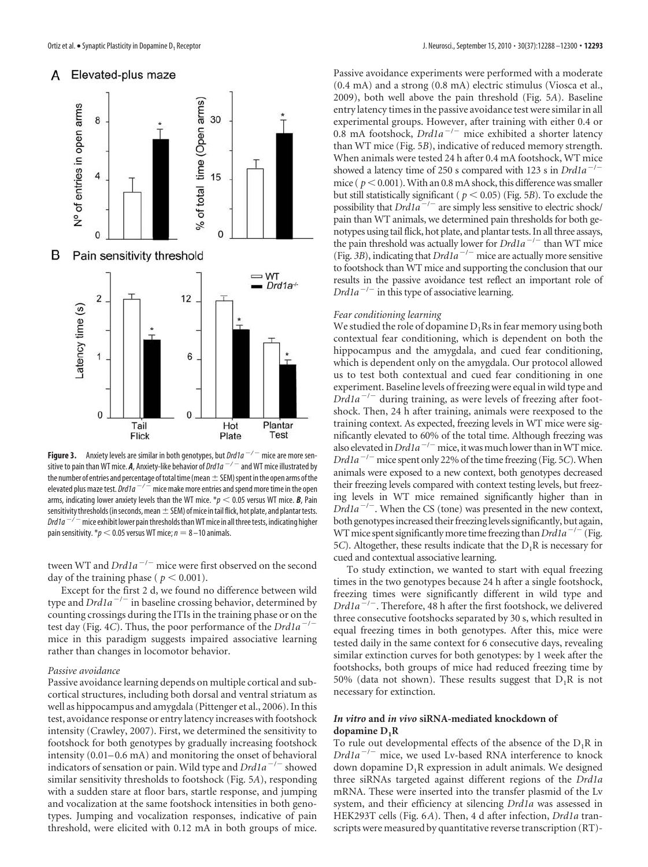

**Figure 3.** Anxiety levels are similar in both genotypes, but  $Drd1a^{-/-}$  mice are more sensitive to pain than WT mice. *A*, Anxiety-like behavior of Drd1a / and WT mice illustrated by the number of entries and percentage of total time (mean  $\pm$  SEM) spent in the open arms of the elevated plus maze test. Drd1a  $^{-/-}$  mice make more entries and spend more time in the open arms, indicating lower anxiety levels than the WT mice.  $p < 0.05$  versus WT mice. **B**, Pain sensitivity thresholds (in seconds, mean  $\pm$  SEM) of mice in tail flick, hot plate, and plantar tests. Drd1a  $^{-/-}$  mice exhibit lower pain thresholds than WT mice in all three tests, indicating higher pain sensitivity.  $\ast p < 0.05$  versus WT mice;  $n = 8 - 10$  animals.

tween WT and *Drd1a<sup>-/-</sup>* mice were first observed on the second day of the training phase ( $p < 0.001$ ).

Except for the first 2 d, we found no difference between wild type and *Drd1a* / in baseline crossing behavior, determined by counting crossings during the ITIs in the training phase or on the test day (Fig. 4*C*). Thus, the poor performance of the *Drd1a*<sup> $-/-$ </sup> mice in this paradigm suggests impaired associative learning rather than changes in locomotor behavior.

#### *Passive avoidance*

Passive avoidance learning depends on multiple cortical and subcortical structures, including both dorsal and ventral striatum as well as hippocampus and amygdala (Pittenger et al., 2006). In this test, avoidance response or entry latency increases with footshock intensity (Crawley, 2007). First, we determined the sensitivity to footshock for both genotypes by gradually increasing footshock intensity (0.01–0.6 mA) and monitoring the onset of behavioral indicators of sensation or pain. Wild type and *Drd1a<sup>-/-</sup>* showed similar sensitivity thresholds to footshock (Fig. 5*A*), responding with a sudden stare at floor bars, startle response, and jumping and vocalization at the same footshock intensities in both genotypes. Jumping and vocalization responses, indicative of pain threshold, were elicited with 0.12 mA in both groups of mice.

Passive avoidance experiments were performed with a moderate (0.4 mA) and a strong (0.8 mA) electric stimulus (Viosca et al., 2009), both well above the pain threshold (Fig. 5*A*). Baseline entry latency times in the passive avoidance test were similar in all experimental groups. However, after training with either 0.4 or 0.8 mA footshock, *Drd1a<sup>-/-</sup>* mice exhibited a shorter latency than WT mice (Fig. 5*B*), indicative of reduced memory strength. When animals were tested 24 h after 0.4 mA footshock, WT mice showed a latency time of 250 s compared with 123 s in *Drd1a<sup>-/-</sup>* mice ( $p < 0.001$ ). With an 0.8 mA shock, this difference was smaller but still statistically significant ( $p < 0.05$ ) (Fig. 5*B*). To exclude the possibility that *Drd1a<sup>-/-</sup>* are simply less sensitive to electric shock/ pain than WT animals, we determined pain thresholds for both genotypes using tail flick, hot plate, and plantar tests. In all three assays, the pain threshold was actually lower for *Drd1a<sup>-/-</sup>* than WT mice (Fig. 3B), indicating that  $Dr d1a^{-/-}$  mice are actually more sensitive to footshock than WT mice and supporting the conclusion that our results in the passive avoidance test reflect an important role of *Drd1a*/ in this type of associative learning.

#### *Fear conditioning learning*

We studied the role of dopamine  $D_1Rs$  in fear memory using both contextual fear conditioning, which is dependent on both the hippocampus and the amygdala, and cued fear conditioning, which is dependent only on the amygdala. Our protocol allowed us to test both contextual and cued fear conditioning in one experiment. Baseline levels of freezing were equal in wild type and *Drd1a<sup>-/-</sup>* during training, as were levels of freezing after footshock. Then, 24 h after training, animals were reexposed to the training context. As expected, freezing levels in WT mice were significantly elevated to 60% of the total time. Although freezing was also elevated in  $Dr d1a^{-/-}$  mice, it was much lower than in WT mice.  $Drd1a^{-/-}$  mice spent only 22% of the time freezing (Fig. 5*C*). When animals were exposed to a new context, both genotypes decreased their freezing levels compared with context testing levels, but freezing levels in WT mice remained significantly higher than in *Drd1a<sup>-/-</sup>*. When the CS (tone) was presented in the new context, both genotypes increased their freezing levels significantly, but again, WTmice spent significantlymore timefreezing than*Drd1a*/ (Fig. 5*C*). Altogether, these results indicate that the  $D_1R$  is necessary for cued and contextual associative learning.

To study extinction, we wanted to start with equal freezing times in the two genotypes because 24 h after a single footshock, freezing times were significantly different in wild type and *Drd1a* / . Therefore, 48 h after the first footshock, we delivered three consecutive footshocks separated by 30 s, which resulted in equal freezing times in both genotypes. After this, mice were tested daily in the same context for 6 consecutive days, revealing similar extinction curves for both genotypes: by 1 week after the footshocks, both groups of mice had reduced freezing time by 50% (data not shown). These results suggest that  $D_1R$  is not necessary for extinction.

#### *In vitro* **and** *in vivo* **siRNA-mediated knockdown of dopamine D1R**

To rule out developmental effects of the absence of the  $D_1R$  in *Drd1a<sup>-/-</sup>* mice, we used Lv-based RNA interference to knock down dopamine  $D_1R$  expression in adult animals. We designed three siRNAs targeted against different regions of the *Drd1a* mRNA. These were inserted into the transfer plasmid of the Lv system, and their efficiency at silencing *Drd1a* was assessed in HEK293T cells (Fig. 6*A*). Then, 4 d after infection, *Drd1a* transcripts were measured by quantitative reverse transcription (RT)-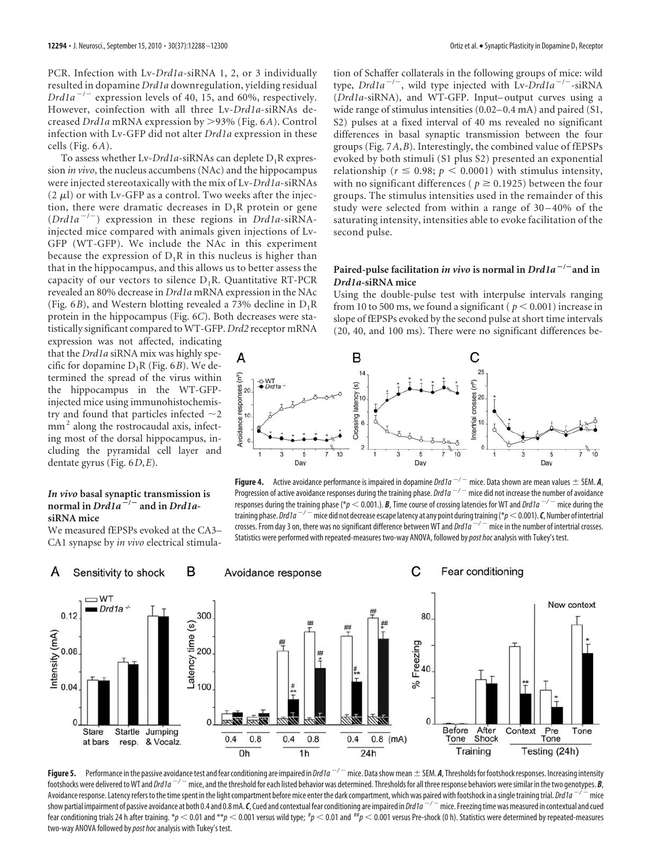PCR. Infection with Lv-*Drd1a*-siRNA 1, 2, or 3 individually resulted in dopamine *Drd1a* downregulation, yielding residual *Drd1a* / expression levels of 40, 15, and 60%, respectively. However, coinfection with all three Lv-*Drd1a*-siRNAs decreased *Drd1a* mRNA expression by -93% (Fig. 6*A*). Control infection with Lv-GFP did not alter *Drd1a* expression in these cells (Fig. 6*A*).

To assess whether Lv-*Drd1a*-siRNAs can deplete D<sub>1</sub>R expression *in vivo*, the nucleus accumbens (NAc) and the hippocampus were injected stereotaxically with the mix of Lv-*Drd1a*-siRNAs  $(2 \mu l)$  or with Lv-GFP as a control. Two weeks after the injection, there were dramatic decreases in  $D_1R$  protein or gene (*Drd1a<sup>-/-</sup>*) expression in these regions in *Drd1a*-siRNAinjected mice compared with animals given injections of Lv-GFP (WT-GFP). We include the NAc in this experiment because the expression of  $D_1R$  in this nucleus is higher than that in the hippocampus, and this allows us to better assess the capacity of our vectors to silence  $D_1R$ . Quantitative RT-PCR revealed an 80% decrease in *Drd1a* mRNA expression in the NAc (Fig. 6*B*), and Western blotting revealed a 73% decline in  $D_1R$ protein in the hippocampus (Fig. 6*C*). Both decreases were statistically significant compared to WT-GFP. *Drd2* receptor mRNA

expression was not affected, indicating that the *Drd1a* siRNA mix was highly specific for dopamine  $D_1R$  (Fig. 6*B*). We determined the spread of the virus within the hippocampus in the WT-GFPinjected mice using immunohistochemistry and found that particles infected  $\sim$ 2 mm<sup>2</sup> along the rostrocaudal axis, infecting most of the dorsal hippocampus, including the pyramidal cell layer and dentate gyrus (Fig. 6*D*,*E*).

#### *In vivo* **basal synaptic transmission is**  $\frac{1}{2}$  **normal** in *Drd1a*<sup>-/-</sup> and in *Drd1a***siRNA mice**

We measured fEPSPs evoked at the CA3– CA1 synapse by *in vivo* electrical stimulation of Schaffer collaterals in the following groups of mice: wild type, *Drd1a<sup>-/-</sup>*, wild type injected with Lv-*Drd1a<sup>-/-</sup>*-siRNA (*Drd1a*-siRNA), and WT-GFP. Input– output curves using a wide range of stimulus intensities (0.02–0.4 mA) and paired (S1, S2) pulses at a fixed interval of 40 ms revealed no significant differences in basal synaptic transmission between the four groups (Fig. 7*A*,*B*). Interestingly, the combined value of fEPSPs evoked by both stimuli (S1 plus S2) presented an exponential relationship ( $r \le 0.98$ ;  $p < 0.0001$ ) with stimulus intensity, with no significant differences ( $p \ge 0.1925$ ) between the four groups. The stimulus intensities used in the remainder of this study were selected from within a range of 30 –40% of the saturating intensity, intensities able to evoke facilitation of the second pulse.

# **Paired-pulse facilitation** *in vivo* **is normal in** *Drd1a* **/ and in** *Drd1a***-siRNA mice**

Using the double-pulse test with interpulse intervals ranging from 10 to 500 ms, we found a significant ( $p < 0.001$ ) increase in slope of fEPSPs evoked by the second pulse at short time intervals (20, 40, and 100 ms). There were no significant differences be-



**Figure 4.** Active avoidance performance is impaired in dopamine *Drd1a*  $-/-$  mice. Data shown are mean values  $\pm$  SEM. *A*, Progression of active avoidance responses during the training phase. Drd1a  $^{-/-}$  mice did not increase the number of avoidance responses during the training phase (\* $p < 0.001$ .). **B**, Time course of crossing latencies for WT and Drd1a<sup>-/-</sup> mice during the training phase. *Drd1a*  $^{-/-}$  mice did not decrease escape latency at any point during training (\* $p$   $<$  0.001). *C*, Number of intertrial crosses. From day 3 on, there was no significant difference between WT and  $Drd1a^{-/-}$  mice in the number of intertrial crosses. Statistics were performed with repeated-measures two-way ANOVA, followed by post hoc analysis with Tukey's test.



**Figure 5.** Performance in the passive avoidance test and fear conditioning are impaired in *Drd1a*  $^{-/-}$  mice. Data show mean  $\pm$  SEM. *A*, Thresholds for footshock responses. Increasing intensity footshocks were delivered to WT and *Drd1a*  $-/-$  mice, and the threshold for each listed behavior was determined. Thresholds for all three response behaviors were similar in the two genotypes. *B*, Avoidance response. Latency refers to the time spent in the light compartment before mice enter the dark compartment, which was paired with footshock in a single training trial. Drd1a  $-i$  mice show partial impairment of passive avoidance at both 0.4 and 0.8 mA. *C*, Cued and contextual fear conditioning are impaired in *Drd1a*  $^{-/-}$  mice. Freezing time was measured in contextual and cued fear conditioning trials 24 h after training. \* $p < 0.01$  and \*\* $p < 0.001$  versus wild type;  $^{\#}p < 0.01$  and  $^{\#}p < 0.001$  versus Pre-shock (0 h). Statistics were determined by repeated-measures two-way ANOVA followed by post hoc analysis with Tukey's test.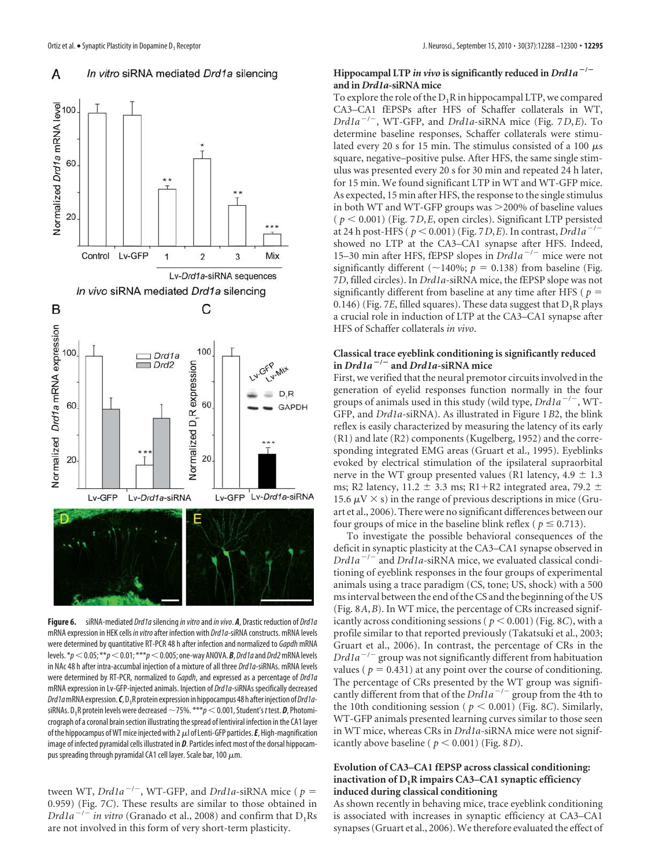#### In vitro siRNA mediated Drd1a silencing А



Figure 6. siRNA-mediated *Drd1a* silencing *in vitro* and *in vivo*. *A*, Drastic reduction of *Drd1a* mRNA expression in HEK cells in vitro after infection with Drd1a-siRNA constructs. mRNA levels were determined by quantitative RT-PCR 48 h after infection and normalized to Gapdh mRNA levels.  $*p<0.05; **p<0.01; ***p<0.005;$  one-way ANOVA. *B*, Drd1a and Drd2 mRNA levels in NAc 48 h after intra-accumbal injection of a mixture of all three Drd1a-siRNAs. mRNA levels were determined by RT-PCR, normalized to Gapdh, and expressed as a percentage of Drd1a mRNA expression in Lv-GFP-injected animals. Injection of Drd1a-siRNAs specifically decreased Drd1a mRNA expression. **C**, D<sub>1</sub>R protein expression in hippocampus 48 h after injection of *Drd1a*siRNAs. D<sub>1</sub>R protein levels were decreased  $\neg$ 75%.  $\ast\ast\ast\rho$   $<$  0.001, Student's*t* test. *D*, Photomicrograph of a coronal brain section illustrating the spread of lentiviral infection in the CA1 layer of the hippocampus of WT mice injected with 2  $\mu$ l of Lenti-GFP particles.  $E$ , High-magnification image of infected pyramidal cells illustrated in *D*. Particles infect most of the dorsal hippocampus spreading through pyramidal CA1 cell layer. Scale bar, 100  $\mu$ m.

tween WT, *Drd1a<sup>-/-</sup>*, WT-GFP, and *Drd1a*-siRNA mice ( $p =$ 0.959) (Fig. 7*C*). These results are similar to those obtained in *Drd1a*  $^{-/-}$  *in vitro* (Granado et al., 2008) and confirm that D<sub>1</sub>Rs are not involved in this form of very short-term plasticity.

#### **Hippocampal LTP** *in vivo* is significantly reduced in  $Drd1a^{-1}$ **and in** *Drd1a***-siRNA mice**

To explore the role of the  $D_1R$  in hippocampal LTP, we compared CA3–CA1 fEPSPs after HFS of Schaffer collaterals in WT, *Drd1a* / , WT-GFP, and *Drd1a*-siRNA mice (Fig. 7*D*,*E*). To determine baseline responses, Schaffer collaterals were stimulated every 20 s for 15 min. The stimulus consisted of a 100  $\mu$ s square, negative–positive pulse. After HFS, the same single stimulus was presented every 20 s for 30 min and repeated 24 h later, for 15 min. We found significant LTP in WT and WT-GFP mice. As expected, 15 min after HFS, the response to the single stimulus in both WT and WT-GFP groups was >200% of baseline values  $(p < 0.001)$  (Fig. 7*D, E*, open circles). Significant LTP persisted at 24 h post-HFS ( $p < 0.001$ ) (Fig. 7*D*,*E*). In contrast, *Drd1a<sup>-/-</sup>* showed no LTP at the CA3–CA1 synapse after HFS. Indeed, 15–30 min after HFS, fEPSP slopes in *Drd1a<sup>-/-</sup>* mice were not significantly different ( $\sim$ 140%;  $p = 0.138$ ) from baseline (Fig. 7*D*, filled circles). In *Drd1a*-siRNA mice, the fEPSP slope was not significantly different from baseline at any time after HFS ( $p =$ 0.146) (Fig. 7*E*, filled squares). These data suggest that  $D_1R$  plays a crucial role in induction of LTP at the CA3–CA1 synapse after HFS of Schaffer collaterals *in vivo*.

## **Classical trace eyeblink conditioning is significantly reduced in** *Drd1a* **/ and** *Drd1a***-siRNA mice**

First, we verified that the neural premotor circuits involved in the generation of eyelid responses function normally in the four groups of animals used in this study (wild type, *Drd1a<sup>-/-</sup>*, WT-GFP, and *Drd1a*-siRNA). As illustrated in Figure 1*B*2, the blink reflex is easily characterized by measuring the latency of its early (R1) and late (R2) components (Kugelberg, 1952) and the corresponding integrated EMG areas (Gruart et al., 1995). Eyeblinks evoked by electrical stimulation of the ipsilateral supraorbital nerve in the WT group presented values (R1 latency,  $4.9 \pm 1.3$ ms; R2 latency, 11.2  $\pm$  3.3 ms; R1+R2 integrated area, 79.2  $\pm$ 15.6  $\mu$ V  $\times$  s) in the range of previous descriptions in mice (Gruart et al., 2006). There were no significant differences between our four groups of mice in the baseline blink reflex ( $p \le 0.713$ ).

To investigate the possible behavioral consequences of the deficit in synaptic plasticity at the CA3–CA1 synapse observed in *Drd1a<sup>-/-</sup>* and *Drd1a*-siRNA mice, we evaluated classical conditioning of eyeblink responses in the four groups of experimental animals using a trace paradigm (CS, tone; US, shock) with a 500 ms interval between the end of the CS and the beginning of the US (Fig. 8*A*,*B*). In WT mice, the percentage of CRs increased significantly across conditioning sessions ( $p < 0.001$ ) (Fig. 8*C*), with a profile similar to that reported previously (Takatsuki et al., 2003; Gruart et al., 2006). In contrast, the percentage of CRs in the *Drd1a<sup>-/-</sup>* group was not significantly different from habituation values ( $p = 0.431$ ) at any point over the course of conditioning. The percentage of CRs presented by the WT group was significantly different from that of the *Drd1a<sup>-/-</sup>* group from the 4th to the 10th conditioning session ( $p < 0.001$ ) (Fig. 8*C*). Similarly, WT-GFP animals presented learning curves similar to those seen in WT mice, whereas CRs in *Drd1a*-siRNA mice were not significantly above baseline ( $p < 0.001$ ) (Fig. 8*D*).

#### **Evolution of CA3–CA1 fEPSP across classical conditioning: inactivation of D1R impairs CA3–CA1 synaptic efficiency induced during classical conditioning**

As shown recently in behaving mice, trace eyeblink conditioning is associated with increases in synaptic efficiency at CA3–CA1 synapses (Gruart et al., 2006). We therefore evaluated the effect of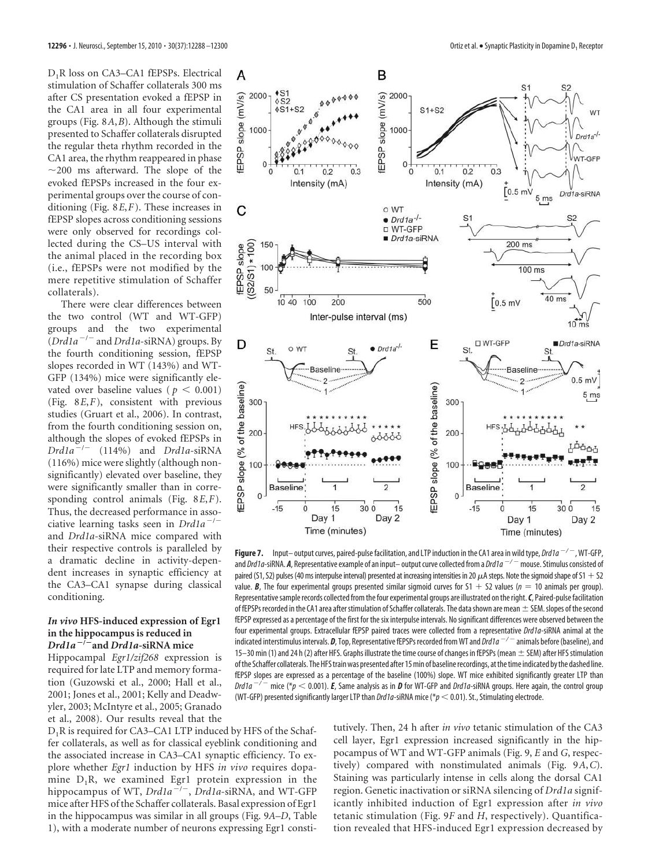D1R loss on CA3–CA1 fEPSPs. Electrical stimulation of Schaffer collaterals 300 ms after CS presentation evoked a fEPSP in the CA1 area in all four experimental groups (Fig. 8*A*,*B*). Although the stimuli presented to Schaffer collaterals disrupted the regular theta rhythm recorded in the CA1 area, the rhythm reappeared in phase  $\sim$ 200 ms afterward. The slope of the evoked fEPSPs increased in the four experimental groups over the course of conditioning (Fig. 8*E*,*F*). These increases in fEPSP slopes across conditioning sessions were only observed for recordings collected during the CS–US interval with the animal placed in the recording box (i.e., fEPSPs were not modified by the mere repetitive stimulation of Schaffer collaterals).

There were clear differences between the two control (WT and WT-GFP) groups and the two experimental (*Drd1a* / and *Drd1a*-siRNA) groups. By the fourth conditioning session, fEPSP slopes recorded in WT (143%) and WT-GFP (134%) mice were significantly elevated over baseline values ( $p < 0.001$ ) (Fig. 8*E*,*F*), consistent with previous studies (Gruart et al., 2006). In contrast, from the fourth conditioning session on, although the slopes of evoked fEPSPs in *Drd1a* / (114%) and *Drd1a*-siRNA (116%) mice were slightly (although nonsignificantly) elevated over baseline, they were significantly smaller than in corresponding control animals (Fig. 8*E*,*F*). Thus, the decreased performance in associative learning tasks seen in *Drd1a<sup>-/-</sup>* and *Drd1a*-siRNA mice compared with their respective controls is paralleled by a dramatic decline in activity-dependent increases in synaptic efficiency at the CA3–CA1 synapse during classical conditioning.

#### *In vivo* **HFS-induced expression of Egr1 in the hippocampus is reduced in** *Drd1a* **/ and** *Drd1a-***siRNA mice**

Hippocampal *Egr1/zif268* expression is required for late LTP and memory formation (Guzowski et al., 2000; Hall et al., 2001; Jones et al., 2001; Kelly and Deadwyler, 2003; McIntyre et al., 2005; Granado et al., 2008). Our results reveal that the



**Figure 7.** Input–output curves, paired-pulse facilitation, and LTP induction in the CA1 area in wild type, *Drd1a*  $^{-/-}$  , WT-GFP, and Drd1a-siRNA. **A**, Representative example of an input– output curve collected from a Drd1a<sup>-/-</sup> mouse. Stimulus consisted of paired (S1, S2) pulses (40 ms interpulse interval) presented at increasing intensities in 20  $\mu$ A steps. Note the sigmoid shape of S1 + S2 value. **B**, The four experimental groups presented similar sigmoid curves for  $S1 + S2$  values ( $n = 10$  animals per group). Representative sample records collected from the four experimental groups are illustrated on the right.*C*, Paired-pulse facilitation of fEPSPs recorded in the CA1 area after stimulation of Schaffer collaterals. The data shown are mean  $\pm$  SEM. slopes of the second fEPSP expressed as a percentage of the first for the six interpulse intervals. No significant differences were observed between the four experimental groups. Extracellular fEPSP paired traces were collected from a representative Drd1a-siRNA animal at the indicated interstimulus intervals. *D*, Top, Representative fEPSPs recorded from WT and Drd1a / animals before (baseline), and 15–30 min (1) and 24 h (2) after HFS. Graphs illustrate the time course of changes in fEPSPs (mean  $\pm$  SEM) after HFS stimulation of the Schaffer collaterals. The HFS train was presented after 15 min of baseline recordings, at the time indicated by the dashed line. fEPSP slopes are expressed as a percentage of the baseline (100%) slope. WT mice exhibited significantly greater LTP than  $\Delta Dr d1a^{-/-}$  mice (\* $p < 0.001$ ). **E**, Same analysis as in **D** for WT-GFP and  $Dr d1a$ -siRNA groups. Here again, the control group (WT-GFP) presented significantly larger LTP than *Drd1a*-siRNA mice ( $p < 0.01$ ). St., Stimulating electrode.

D<sub>1</sub>R is required for CA3–CA1 LTP induced by HFS of the Schaffer collaterals, as well as for classical eyeblink conditioning and the associated increase in CA3–CA1 synaptic efficiency. To explore whether *Egr1* induction by HFS *in vivo* requires dopamine  $D_1R$ , we examined Egr1 protein expression in the hippocampus of WT, *Drd1a<sup>-/-</sup>*, *Drd1a*-siRNA, and WT-GFP mice after HFS of the Schaffer collaterals. Basal expression of Egr1 in the hippocampus was similar in all groups (Fig. 9*A*–*D*, Table 1), with a moderate number of neurons expressing Egr1 constitutively. Then, 24 h after *in vivo* tetanic stimulation of the CA3 cell layer, Egr1 expression increased significantly in the hippocampus of WT and WT-GFP animals (Fig. 9, *E* and *G*, respectively) compared with nonstimulated animals (Fig. 9*A*,*C*). Staining was particularly intense in cells along the dorsal CA1 region. Genetic inactivation or siRNA silencing of *Drd1a* significantly inhibited induction of Egr1 expression after *in vivo* tetanic stimulation (Fig. 9*F* and *H*, respectively). Quantification revealed that HFS-induced Egr1 expression decreased by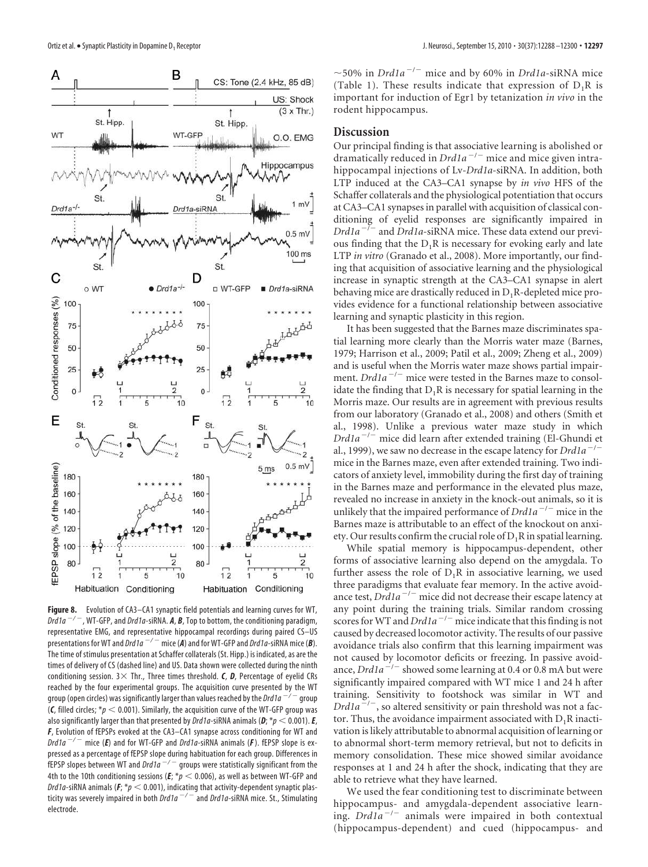

**Figure 8.** Evolution of CA3–CA1 synaptic field potentials and learning curves for WT, Drd1a<sup>-/-</sup>, WT-GFP, and Drd1a-siRNA. **A, B**, Top to bottom, the conditioning paradigm, representative EMG, and representative hippocampal recordings during paired CS–US presentations for WT and  $Drda^{-/-}$  mice (A) and for WT-GFP and  $Drda$ -siRNA mice (B). The time of stimulus presentation at Schaffer collaterals (St. Hipp.) is indicated, as are the times of delivery of CS (dashed line) and US. Data shown were collected during the ninth conditioning session.  $3 \times$  Thr., Three times threshold. *C*, *D*, Percentage of eyelid CRs reached by the four experimental groups. The acquisition curve presented by the WT group (open circles) was significantly larger than values reached by the Drd1a  $^{-/}$  $^-$  group (C, filled circles;  $p < 0.001$ ). Similarly, the acquisition curve of the WT-GFP group was also significantly larger than that presented by *Drd1a*-siRNA animals ( $D$ ;  $*$  $p$  < 0.001). *E*, *F*, Evolution of fEPSPs evoked at the CA3–CA1 synapse across conditioning for WT and Drd1a<sup>-/-</sup> mice (**E**) and for WT-GFP and Drd1a-siRNA animals (**F**). fEPSP slope is expressed as a percentage of fEPSP slope during habituation for each group. Differences in .<br>fEPSP slopes between WT and *Drd1a*  $^{-/-}$  groups were statistically significant from the 4th to the 10th conditioning sessions ( $E$ ;  $p$   $<$  0.006), as well as between WT-GFP and Drd1a-siRNA animals ( $F$ ;  $p$  < 0.001), indicating that activity-dependent synaptic plasticity was severely impaired in both  $\overline{Ord1a}^{-/-}$  and  $Drd1a$ -siRNA mice. St., Stimulating electrode.

 $\sim$  50% in *Drd1a<sup>-/-</sup>* mice and by 60% in *Drd1a*-siRNA mice (Table 1). These results indicate that expression of  $D_1R$  is important for induction of Egr1 by tetanization *in vivo* in the rodent hippocampus.

## **Discussion**

Our principal finding is that associative learning is abolished or dramatically reduced in  $Dr d1a^{-/-}$  mice and mice given intrahippocampal injections of Lv-*Drd1a*-siRNA. In addition, both LTP induced at the CA3–CA1 synapse by *in vivo* HFS of the Schaffer collaterals and the physiological potentiation that occurs at CA3–CA1 synapses in parallel with acquisition of classical conditioning of eyelid responses are significantly impaired in  $Drd1a^{-1}$ and *Drd1a*-siRNA mice. These data extend our previous finding that the  $D_1R$  is necessary for evoking early and late LTP *in vitro* (Granado et al., 2008). More importantly, our finding that acquisition of associative learning and the physiological increase in synaptic strength at the CA3–CA1 synapse in alert behaving mice are drastically reduced in  $D_1R$ -depleted mice provides evidence for a functional relationship between associative learning and synaptic plasticity in this region.

It has been suggested that the Barnes maze discriminates spatial learning more clearly than the Morris water maze (Barnes, 1979; Harrison et al., 2009; Patil et al., 2009; Zheng et al., 2009) and is useful when the Morris water maze shows partial impairment. *Drd1a<sup>-/-</sup>* mice were tested in the Barnes maze to consolidate the finding that  $D_1R$  is necessary for spatial learning in the Morris maze. Our results are in agreement with previous results from our laboratory (Granado et al., 2008) and others (Smith et al., 1998). Unlike a previous water maze study in which *Drd1a<sup>-/-</sup>* mice did learn after extended training (El-Ghundi et al., 1999), we saw no decrease in the escape latency for  $Drd1a^$ mice in the Barnes maze, even after extended training. Two indicators of anxiety level, immobility during the first day of training in the Barnes maze and performance in the elevated plus maze, revealed no increase in anxiety in the knock-out animals, so it is unlikely that the impaired performance of  $Drd1a^{-/-}$  mice in the Barnes maze is attributable to an effect of the knockout on anxiety. Our results confirm the crucial role of  $D_1R$  in spatial learning.

While spatial memory is hippocampus-dependent, other forms of associative learning also depend on the amygdala. To further assess the role of  $D_1R$  in associative learning, we used three paradigms that evaluate fear memory. In the active avoidance test, *Drd1a<sup>-/-</sup>* mice did not decrease their escape latency at any point during the training trials. Similar random crossing scores for WT and  $Dr d1a^{-/-}$  mice indicate that this finding is not caused by decreased locomotor activity. The results of our passive avoidance trials also confirm that this learning impairment was not caused by locomotor deficits or freezing. In passive avoidance, *Drd1a<sup>-/-</sup>* showed some learning at 0.4 or 0.8 mA but were significantly impaired compared with WT mice 1 and 24 h after training. Sensitivity to footshock was similar in WT and *Drd1a*<sup>2</sup>/<sup>-</sup>, so altered sensitivity or pain threshold was not a factor. Thus, the avoidance impairment associated with  $D_1R$  inactivation is likely attributable to abnormal acquisition of learning or to abnormal short-term memory retrieval, but not to deficits in memory consolidation. These mice showed similar avoidance responses at 1 and 24 h after the shock, indicating that they are able to retrieve what they have learned.

We used the fear conditioning test to discriminate between hippocampus- and amygdala-dependent associative learning. *Drd1a<sup>-/-</sup>* animals were impaired in both contextual (hippocampus-dependent) and cued (hippocampus- and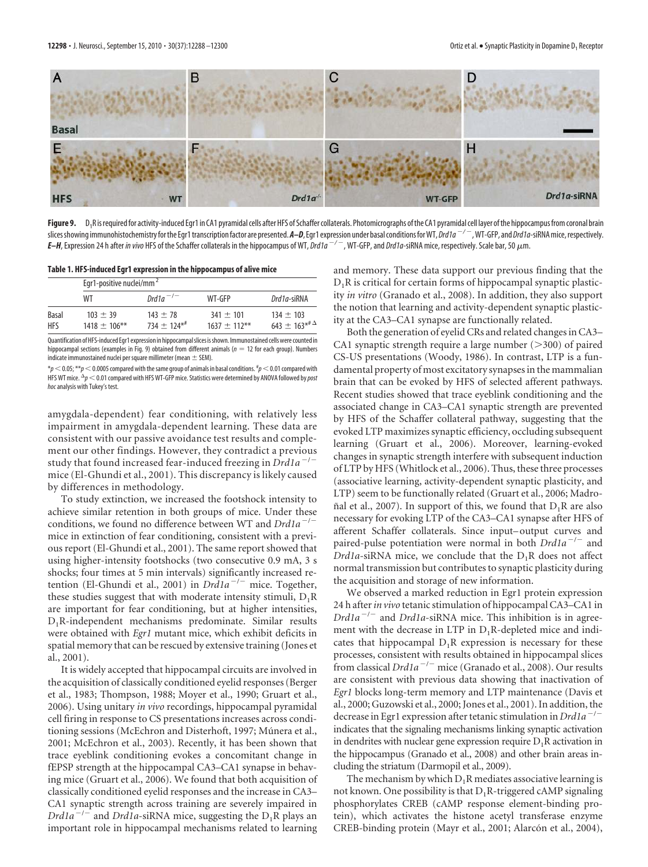

**Figure 9.** D<sub>1</sub>R is required for activity-induced Egr1 in CA1 pyramidal cells after HFS of Schaffer collaterals. Photomicrographs of the CA1 pyramidal cell layer of the hippocampus from coronal brain slices showing immunohistochemistry for the Egr1 transcription factor are presented. **A–D**, Egr1 expression under basal conditions for WT, *Drd1a* <sup>-/ -</sup>, WT-GFP, and *Drd1a-s*iRNA mice, respectively. *E–H*, Expression 24 h after *in vivo* HFS of the Schaffer collaterals in the hippocampus of WT, *Drd1a*  $^{-/-}$  , WT-GFP, and *Drd1a*-siRNA mice, respectively. Scale bar, 50  $\mu$ m.

**Table 1. HFS-induced Egr1 expression in the hippocampus of alive mice**

|                     | Egr1-positive nuclei/mm <sup>2</sup> |                             |                               |                                                                |
|---------------------|--------------------------------------|-----------------------------|-------------------------------|----------------------------------------------------------------|
|                     | WТ                                   | Drd1a <sup>-/-</sup>        | WT-GFP                        | Drd1a-siRNA                                                    |
| Basal<br><b>HFS</b> | $103 + 39$<br>$1418 + 106$ **        | $143 + 78$<br>$734 + 124**$ | $341 + 101$<br>$1637 + 112**$ | $134 + 103$<br>643 $\pm$ 163* <sup># <math>\Delta</math></sup> |

Quantification of HFS-induced Egr1 expression in hippocampal slices is shown. Immunostained cells were counted in hippocampal sections (examples in Fig. 9) obtained from different animals ( $n = 12$  for each group). Numbers indicate immunostained nuclei per square millimeter (mean  $\pm$  SEM).

 $^*p$   $<$  0.05;  $^{**}p$   $<$  0.0005 compared with the same group of animals in basal conditions.  $^{\sharp}p$   $<$  0.01 compared with HFS WT mice.  $\frac{\Delta p}{2} < 0.01$  compared with HFS WT-GFP mice. Statistics were determined by ANOVA followed by post hoc analysis with Tukey's test.

amygdala-dependent) fear conditioning, with relatively less impairment in amygdala-dependent learning. These data are consistent with our passive avoidance test results and complement our other findings. However, they contradict a previous study that found increased fear-induced freezing in *Drd1a<sup>-/</sup>* mice (El-Ghundi et al., 2001). This discrepancy is likely caused by differences in methodology.

To study extinction, we increased the footshock intensity to achieve similar retention in both groups of mice. Under these conditions, we found no difference between WT and *Drd1a<sup>-/-</sup>* mice in extinction of fear conditioning, consistent with a previous report (El-Ghundi et al., 2001). The same report showed that using higher-intensity footshocks (two consecutive 0.9 mA, 3 s shocks; four times at 5 min intervals) significantly increased retention (El-Ghundi et al., 2001) in *Drd1a<sup>-/-</sup>* mice. Together, these studies suggest that with moderate intensity stimuli,  $D_1R$ are important for fear conditioning, but at higher intensities, D1R-independent mechanisms predominate. Similar results were obtained with *Egr1* mutant mice, which exhibit deficits in spatial memory that can be rescued by extensive training (Jones et al., 2001).

It is widely accepted that hippocampal circuits are involved in the acquisition of classically conditioned eyelid responses (Berger et al., 1983; Thompson, 1988; Moyer et al., 1990; Gruart et al., 2006). Using unitary *in vivo* recordings, hippocampal pyramidal cell firing in response to CS presentations increases across conditioning sessions (McEchron and Disterhoft, 1997; Múnera et al., 2001; McEchron et al., 2003). Recently, it has been shown that trace eyeblink conditioning evokes a concomitant change in fEPSP strength at the hippocampal CA3–CA1 synapse in behaving mice (Gruart et al., 2006). We found that both acquisition of classically conditioned eyelid responses and the increase in CA3– CA1 synaptic strength across training are severely impaired in  $Drd1a^{-/-}$  and  $Drd1a$ -siRNA mice, suggesting the  $D_1R$  plays an important role in hippocampal mechanisms related to learning

and memory. These data support our previous finding that the  $D_1R$  is critical for certain forms of hippocampal synaptic plasticity *in vitro* (Granado et al., 2008). In addition, they also support the notion that learning and activity-dependent synaptic plasticity at the CA3–CA1 synapse are functionally related.

Both the generation of eyelid CRs and related changes in CA3– CA1 synaptic strength require a large number  $(>300)$  of paired CS-US presentations (Woody, 1986). In contrast, LTP is a fundamental property of most excitatory synapses in the mammalian brain that can be evoked by HFS of selected afferent pathways. Recent studies showed that trace eyeblink conditioning and the associated change in CA3–CA1 synaptic strength are prevented by HFS of the Schaffer collateral pathway, suggesting that the evoked LTP maximizes synaptic efficiency, occluding subsequent learning (Gruart et al., 2006). Moreover, learning-evoked changes in synaptic strength interfere with subsequent induction of LTP by HFS (Whitlock et al., 2006). Thus, these three processes (associative learning, activity-dependent synaptic plasticity, and LTP) seem to be functionally related (Gruart et al., 2006; Madroñal et al., 2007). In support of this, we found that  $D_1R$  are also necessary for evoking LTP of the CA3–CA1 synapse after HFS of afferent Schaffer collaterals. Since input– output curves and paired-pulse potentiation were normal in both *Drd1a<sup>-/-</sup>* and *Drd1a*-siRNA mice, we conclude that the  $D_1R$  does not affect normal transmission but contributes to synaptic plasticity during the acquisition and storage of new information.

We observed a marked reduction in Egr1 protein expression 24 h after*in vivo* tetanic stimulation of hippocampal CA3–CA1 in *Drd1a<sup>-/-</sup>* and *Drd1a*-siRNA mice. This inhibition is in agreement with the decrease in LTP in  $D_1R$ -depleted mice and indicates that hippocampal  $D_1R$  expression is necessary for these processes, consistent with results obtained in hippocampal slices from classical *Drd1a<sup>-/-</sup>* mice (Granado et al., 2008). Our results are consistent with previous data showing that inactivation of *Egr1* blocks long-term memory and LTP maintenance (Davis et al., 2000; Guzowski et al., 2000; Jones et al., 2001). In addition, the decrease in Egr1 expression after tetanic stimulation in *Drd1a<sup>-/-</sup>* indicates that the signaling mechanisms linking synaptic activation in dendrites with nuclear gene expression require  $D_1R$  activation in the hippocampus (Granado et al., 2008) and other brain areas including the striatum (Darmopil et al., 2009).

The mechanism by which  $D_1R$  mediates associative learning is not known. One possibility is that  $D_1R$ -triggered cAMP signaling phosphorylates CREB (cAMP response element-binding protein), which activates the histone acetyl transferase enzyme CREB-binding protein (Mayr et al., 2001; Alarcón et al., 2004),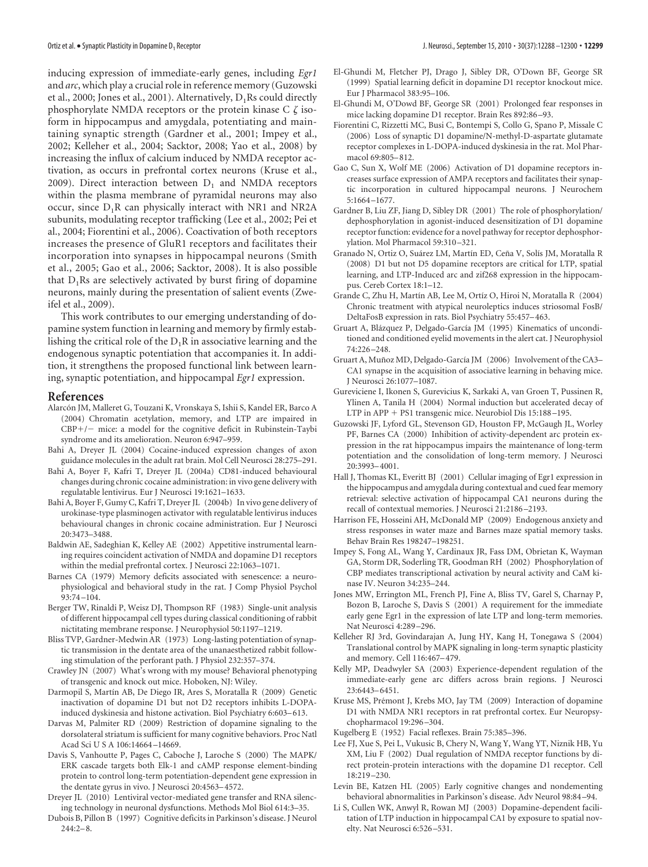inducing expression of immediate-early genes, including *Egr1* and *arc*, which play a crucial role in reference memory (Guzowski et al., 2000; Jones et al., 2001). Alternatively,  $D_1Rs$  could directly phosphorylate NMDA receptors or the protein kinase C  $\zeta$  isoform in hippocampus and amygdala, potentiating and maintaining synaptic strength (Gardner et al., 2001; Impey et al., 2002; Kelleher et al., 2004; Sacktor, 2008; Yao et al., 2008) by increasing the influx of calcium induced by NMDA receptor activation, as occurs in prefrontal cortex neurons (Kruse et al., 2009). Direct interaction between  $D_1$  and NMDA receptors within the plasma membrane of pyramidal neurons may also occur, since  $D_1R$  can physically interact with NR1 and NR2A subunits, modulating receptor trafficking (Lee et al., 2002; Pei et al., 2004; Fiorentini et al., 2006). Coactivation of both receptors increases the presence of GluR1 receptors and facilitates their incorporation into synapses in hippocampal neurons (Smith et al., 2005; Gao et al., 2006; Sacktor, 2008). It is also possible that  $D_1$ Rs are selectively activated by burst firing of dopamine neurons, mainly during the presentation of salient events (Zweifel et al., 2009).

This work contributes to our emerging understanding of dopamine system function in learning and memory by firmly establishing the critical role of the  $D_1R$  in associative learning and the endogenous synaptic potentiation that accompanies it. In addition, it strengthens the proposed functional link between learning, synaptic potentiation, and hippocampal *Egr1* expression.

#### **References**

- Alarcón JM, Malleret G, Touzani K, Vronskaya S, Ishii S, Kandel ER, Barco A (2004) Chromatin acetylation, memory, and LTP are impaired in  $CBP+/-$  mice: a model for the cognitive deficit in Rubinstein-Taybi syndrome and its amelioration. Neuron 6:947–959.
- Bahi A, Dreyer JL (2004) Cocaine-induced expression changes of axon guidance molecules in the adult rat brain. Mol Cell Neurosci 28:275–291.
- Bahi A, Boyer F, Kafri T, Dreyer JL (2004a) CD81-induced behavioural changes during chronic cocaine administration: in vivo gene delivery with regulatable lentivirus. Eur J Neurosci 19:1621–1633.
- Bahi A, Boyer F, Gumy C, Kafri T, Dreyer JL (2004b) In vivo gene delivery of urokinase-type plasminogen activator with regulatable lentivirus induces behavioural changes in chronic cocaine administration. Eur J Neurosci 20:3473–3488.
- Baldwin AE, Sadeghian K, Kelley AE (2002) Appetitive instrumental learning requires coincident activation of NMDA and dopamine D1 receptors within the medial prefrontal cortex. J Neurosci 22:1063–1071.
- Barnes CA (1979) Memory deficits associated with senescence: a neurophysiological and behavioral study in the rat. J Comp Physiol Psychol 93:74 –104.
- Berger TW, Rinaldi P, Weisz DJ, Thompson RF (1983) Single-unit analysis of different hippocampal cell types during classical conditioning of rabbit nictitating membrane response. J Neurophysiol 50:1197–1219.
- Bliss TVP, Gardner-Medwin AR (1973) Long-lasting potentiation of synaptic transmission in the dentate area of the unanaesthetized rabbit following stimulation of the perforant path. J Physiol 232:357–374.
- Crawley JN (2007) What's wrong with my mouse? Behavioral phenotyping of transgenic and knock out mice. Hoboken, NJ: Wiley.
- Darmopil S, Martín AB, De Diego IR, Ares S, Moratalla R (2009) Genetic inactivation of dopamine D1 but not D2 receptors inhibits L-DOPAinduced dyskinesia and histone activation. Biol Psychiatry 6:603–613.
- Darvas M, Palmiter RD (2009) Restriction of dopamine signaling to the dorsolateral striatum is sufficient for many cognitive behaviors. Proc Natl Acad Sci U S A 106:14664 –14669.
- Davis S, Vanhoutte P, Pages C, Caboche J, Laroche S (2000) The MAPK/ ERK cascade targets both Elk-1 and cAMP response element-binding protein to control long-term potentiation-dependent gene expression in the dentate gyrus in vivo. J Neurosci 20:4563–4572.
- Dreyer JL (2010) Lentiviral vector-mediated gene transfer and RNA silencing technology in neuronal dysfunctions. Methods Mol Biol 614:3–35.
- Dubois B, Pillon B (1997) Cognitive deficits in Parkinson's disease. J Neurol  $244:2-8.$
- El-Ghundi M, Fletcher PJ, Drago J, Sibley DR, O'Down BF, George SR (1999) Spatial learning deficit in dopamine D1 receptor knockout mice. Eur J Pharmacol 383:95–106.
- El-Ghundi M, O'Dowd BF, George SR (2001) Prolonged fear responses in mice lacking dopamine D1 receptor. Brain Res 892:86 –93.
- Fiorentini C, Rizzetti MC, Busi C, Bontempi S, Collo G, Spano P, Missale C (2006) Loss of synaptic D1 dopamine/N-methyl-D-aspartate glutamate receptor complexes in L-DOPA-induced dyskinesia in the rat. Mol Pharmacol 69:805–812.
- Gao C, Sun X, Wolf ME (2006) Activation of D1 dopamine receptors increases surface expression of AMPA receptors and facilitates their synaptic incorporation in cultured hippocampal neurons. J Neurochem 5:1664 –1677.
- Gardner B, Liu ZF, Jiang D, Sibley DR (2001) The role of phosphorylation/ dephosphorylation in agonist-induced desensitization of D1 dopamine receptor function: evidence for a novel pathway for receptor dephosphorylation. Mol Pharmacol 59:310 –321.
- Granado N, Ortiz O, Suárez LM, Martín ED, Ceña V, Solís JM, Moratalla R (2008) D1 but not D5 dopamine receptors are critical for LTP, spatial learning, and LTP-Induced arc and zif268 expression in the hippocampus. Cereb Cortex 18:1–12.
- Grande C, Zhu H, Martín AB, Lee M, Ortíz O, Hiroi N, Moratalla R (2004) Chronic treatment with atypical neuroleptics induces striosomal FosB/ DeltaFosB expression in rats. Biol Psychiatry 55:457–463.
- Gruart A, Blázquez P, Delgado-García JM (1995) Kinematics of unconditioned and conditioned eyelid movements in the alert cat. J Neurophysiol 74:226 –248.
- Gruart A, Muñoz MD, Delgado-García JM (2006) Involvement of the CA3-CA1 synapse in the acquisition of associative learning in behaving mice. J Neurosci 26:1077–1087.
- Gureviciene I, Ikonen S, Gurevicius K, Sarkaki A, van Groen T, Pussinen R, Ylinen A, Tanila H (2004) Normal induction but accelerated decay of LTP in APP  $+$  PS1 transgenic mice. Neurobiol Dis 15:188-195.
- Guzowski JF, Lyford GL, Stevenson GD, Houston FP, McGaugh JL, Worley PF, Barnes CA (2000) Inhibition of activity-dependent arc protein expression in the rat hippocampus impairs the maintenance of long-term potentiation and the consolidation of long-term memory. J Neurosci 20:3993–4001.
- Hall J, Thomas KL, Everitt BJ (2001) Cellular imaging of Egr1 expression in the hippocampus and amygdala during contextual and cued fear memory retrieval: selective activation of hippocampal CA1 neurons during the recall of contextual memories. J Neurosci 21:2186 –2193.
- Harrison FE, Hosseini AH, McDonald MP (2009) Endogenous anxiety and stress responses in water maze and Barnes maze spatial memory tasks. Behav Brain Res 198247–198251.
- Impey S, Fong AL, Wang Y, Cardinaux JR, Fass DM, Obrietan K, Wayman GA, Storm DR, Soderling TR, Goodman RH (2002) Phosphorylation of CBP mediates transcriptional activation by neural activity and CaM kinase IV. Neuron 34:235–244.
- Jones MW, Errington ML, French PJ, Fine A, Bliss TV, Garel S, Charnay P, Bozon B, Laroche S, Davis S (2001) A requirement for the immediate early gene Egr1 in the expression of late LTP and long-term memories. Nat Neurosci 4:289 –296.
- Kelleher RJ 3rd, Govindarajan A, Jung HY, Kang H, Tonegawa S (2004) Translational control by MAPK signaling in long-term synaptic plasticity and memory. Cell 116:467–479.
- Kelly MP, Deadwyler SA (2003) Experience-dependent regulation of the immediate-early gene arc differs across brain regions. J Neurosci 23:6443–6451.
- Kruse MS, Prémont J, Krebs MO, Jay TM (2009) Interaction of dopamine D1 with NMDA NR1 receptors in rat prefrontal cortex. Eur Neuropsychopharmacol 19:296 –304.
- Kugelberg E (1952) Facial reflexes. Brain 75:385–396.
- Lee FJ, Xue S, Pei L, Vukusic B, Chery N, Wang Y, Wang YT, Niznik HB, Yu XM, Liu F (2002) Dual regulation of NMDA receptor functions by direct protein-protein interactions with the dopamine D1 receptor. Cell  $18.219 - 230$
- Levin BE, Katzen HL (2005) Early cognitive changes and nondementing behavioral abnormalities in Parkinson's disease. Adv Neurol 98:84 –94.
- Li S, Cullen WK, Anwyl R, Rowan MJ (2003) Dopamine-dependent facilitation of LTP induction in hippocampal CA1 by exposure to spatial novelty. Nat Neurosci 6:526 –531.